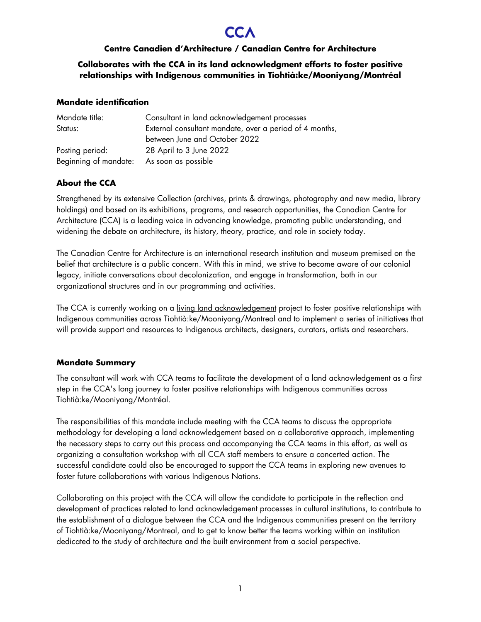# **Centre Canadien d'Architecture / Canadian Centre for Architecture**

**Collaborates with the CCA in its land acknowledgment efforts to foster positive relationships with Indigenous communities in Tiohtià:ke/Mooniyang/Montréal**

### **Mandate identification**

| Mandate title:        | Consultant in land acknowledgement processes            |
|-----------------------|---------------------------------------------------------|
| Status:               | External consultant mandate, over a period of 4 months, |
|                       | between June and October 2022                           |
| Posting period:       | 28 April to 3 June 2022                                 |
| Beginning of mandate: | As soon as possible                                     |

# **About the CCA**

Strengthened by its extensive Collection (archives, prints & drawings, photography and new media, library holdings) and based on its exhibitions, programs, and research opportunities, the Canadian Centre for Architecture (CCA) is a leading voice in advancing knowledge, promoting public understanding, and widening the debate on architecture, its history, theory, practice, and role in society today.

The Canadian Centre for Architecture is an international research institution and museum premised on the belief that architecture is a public concern. With this in mind, we strive to become aware of our colonial legacy, initiate conversations about decolonization, and engage in transformation, both in our organizational structures and in our programming and activities.

The CCA is currently working on a [living land acknowledgement](https://www.cca.qc.ca/en/83986/living-lands) project to foster positive relationships with Indigenous communities across Tiohtià:ke/Mooniyang/Montreal and to implement a series of initiatives that will provide support and resources to Indigenous architects, designers, curators, artists and researchers.

# **Mandate Summary**

The consultant will work with CCA teams to facilitate the development of a land acknowledgement as a first step in the CCA's long journey to foster positive relationships with Indigenous communities across Tiohtià:ke/Mooniyang/Montréal.

The responsibilities of this mandate include meeting with the CCA teams to discuss the appropriate methodology for developing a land acknowledgement based on a collaborative approach, implementing the necessary steps to carry out this process and accompanying the CCA teams in this effort, as well as organizing a consultation workshop with all CCA staff members to ensure a concerted action. The successful candidate could also be encouraged to support the CCA teams in exploring new avenues to foster future collaborations with various Indigenous Nations.

Collaborating on this project with the CCA will allow the candidate to participate in the reflection and development of practices related to land acknowledgement processes in cultural institutions, to contribute to the establishment of a dialogue between the CCA and the Indigenous communities present on the territory of Tiohtià:ke/Mooniyang/Montreal, and to get to know better the teams working within an institution dedicated to the study of architecture and the built environment from a social perspective.